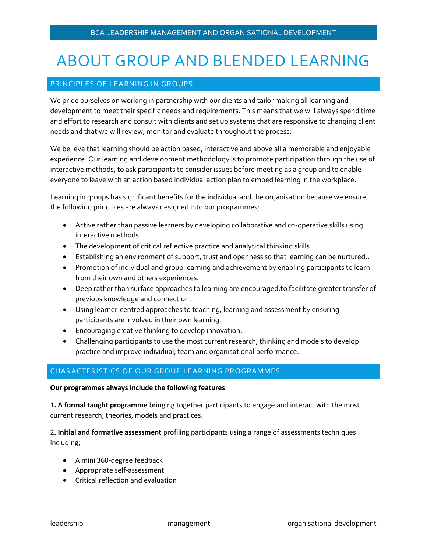# ABOUT GROUP AND BLENDED LEARNING

## PRINCIPLES OF LEARNING IN GROUPS

We pride ourselves on working in partnership with our clients and tailor making all learning and development to meet their specific needs and requirements. This means that we will always spend time and effort to research and consult with clients and set up systems that are responsive to changing client needs and that we will review, monitor and evaluate throughout the process.

We believe that learning should be action based, interactive and above all a memorable and enjoyable experience. Our learning and development methodology is to promote participation through the use of interactive methods, to ask participants to consider issues before meeting as a group and to enable everyone to leave with an action based individual action plan to embed learning in the workplace.

Learning in groups has significant benefits for the individual and the organisation because we ensure the following principles are always designed into our programmes;

- Active rather than passive learners by developing collaborative and co-operative skills using interactive methods.
- The development of critical reflective practice and analytical thinking skills.
- Establishing an environment of support, trust and openness so that learning can be nurtured..
- Promotion of individual and group learning and achievement by enabling participants to learn from their own and others experiences.
- Deep rather than surface approaches to learning are encouraged.to facilitate greater transfer of previous knowledge and connection.
- Using learner-centred approaches to teaching, learning and assessment by ensuring participants are involved in their own learning.
- Encouraging creative thinking to develop innovation.
- Challenging participants to use the most current research, thinking and models to develop practice and improve individual, team and organisational performance.

## CHARACTERISTICS OF OUR GROUP LEARNING PROGRAMMES

#### **Our programmes always include the following features**

1**. A formal taught programme** bringing together participants to engage and interact with the most current research, theories, models and practices.

2**. Initial and formative assessment** profiling participants using a range of assessments techniques including;

- A mini 360-degree feedback
- Appropriate self-assessment
- Critical reflection and evaluation